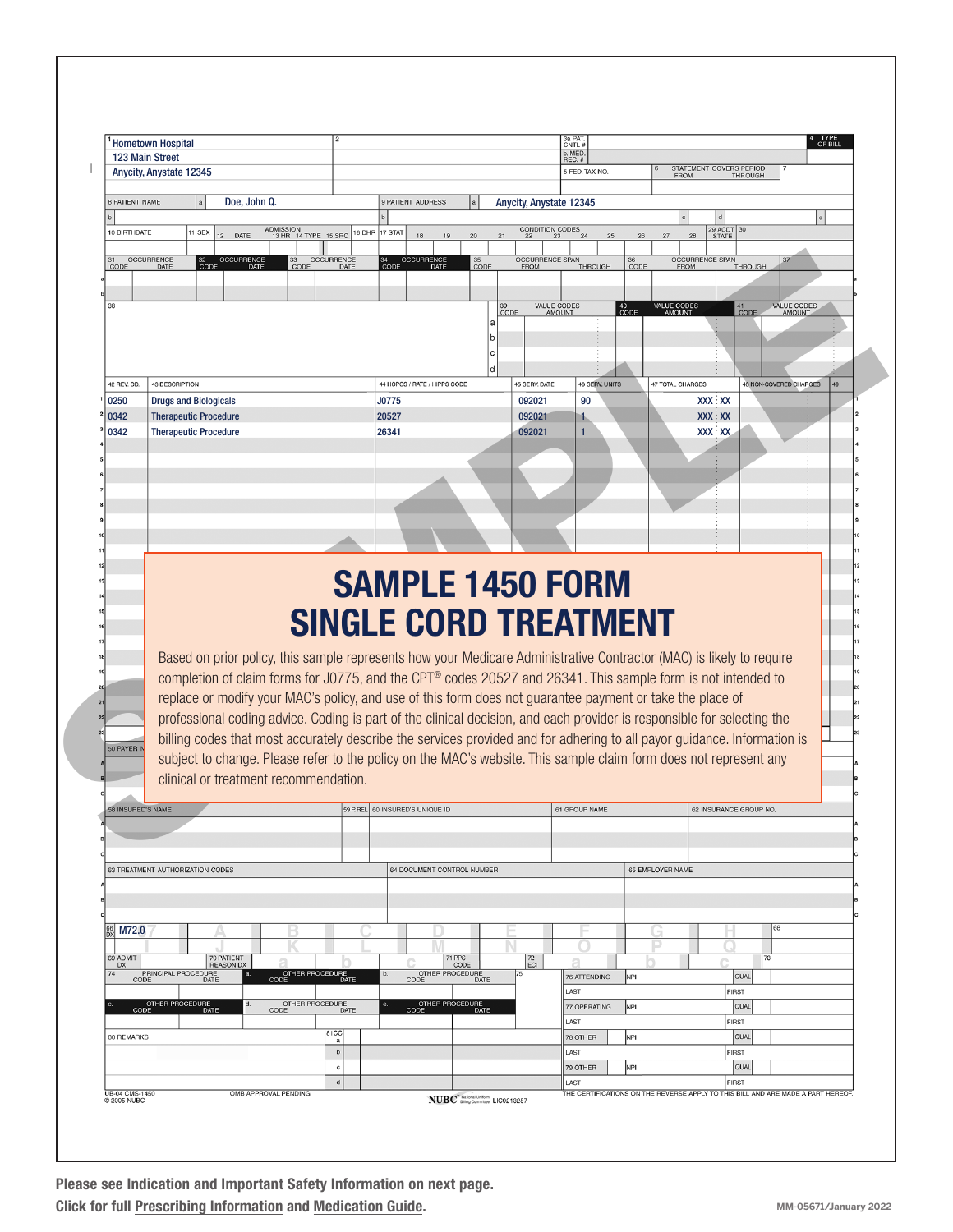|                                                                 | <b>Hometown Hospital</b>                          |                                                                                                                                                            |              |                                   |                             |                   |                                 |                                      |              |                                      | 3a PAT.<br>CNTL #           |                      |                 |                       |                                       |               |                        |                        | OF BILL |  |
|-----------------------------------------------------------------|---------------------------------------------------|------------------------------------------------------------------------------------------------------------------------------------------------------------|--------------|-----------------------------------|-----------------------------|-------------------|---------------------------------|--------------------------------------|--------------|--------------------------------------|-----------------------------|----------------------|-----------------|-----------------------|---------------------------------------|---------------|------------------------|------------------------|---------|--|
|                                                                 | 123 Main Street<br><b>Anycity, Anystate 12345</b> |                                                                                                                                                            |              |                                   |                             |                   |                                 |                                      |              |                                      | b. MED.<br>REC.#            | 5 FED. TAX NO.       |                 |                       | STATEMENT COVERS PERIOD               |               |                        |                        |         |  |
|                                                                 |                                                   |                                                                                                                                                            |              |                                   |                             |                   |                                 |                                      |              |                                      |                             |                      |                 |                       | <b>FROM</b>                           |               | <b>THROUGH</b>         |                        |         |  |
| <b>8 PATIENT NAME</b>                                           |                                                   |                                                                                                                                                            | Doe, John Q. |                                   |                             | $\mathbf b$       | 9 PATIENT ADDRESS               |                                      |              | Anycity, Anystate 12345              |                             |                      |                 |                       |                                       |               |                        |                        |         |  |
| 10 BIRTHDATE                                                    |                                                   | 11 SEX<br>DATE<br>12 <sup>2</sup>                                                                                                                          |              | ADMISSION<br>13 HR 14 TYPE 15 SRC |                             | 17 STAT<br>16 DHR | 18                              | 19                                   | 20<br>21     |                                      | CONDITION CODES<br>22 23 24 |                      | 26              | 27                    | 28                                    | d<br>29 ACDT  | 30                     |                        |         |  |
|                                                                 |                                                   |                                                                                                                                                            |              |                                   |                             |                   |                                 |                                      |              |                                      |                             |                      |                 |                       |                                       |               |                        |                        |         |  |
| 31<br>CODE                                                      | OCCURRENCE<br>DATE                                | 32 OCCURRENCE<br>CODE DATE                                                                                                                                 |              | 33<br>CODE                        | OCCURRENCE                  | 34<br>CODE        | OCCURRENCE                      |                                      | $35$<br>CODE | OCCURRENCE SPAN                      |                             | THROUGH              | $rac{36}{CODE}$ |                       | <b>OCCURRENCE SPAN</b><br><b>FROM</b> |               | THROUGH                | 37                     |         |  |
|                                                                 |                                                   |                                                                                                                                                            |              |                                   |                             |                   |                                 |                                      |              |                                      |                             |                      |                 |                       |                                       |               |                        |                        |         |  |
| 38                                                              |                                                   |                                                                                                                                                            |              |                                   |                             |                   |                                 |                                      |              | 39<br>CODE                           | VALUE CODES<br>AMOUNT       |                      | 40<br>CODE      | VALUE CODES<br>AMOUNT |                                       |               | 41<br>CODE             | VALUE CODES            |         |  |
|                                                                 |                                                   |                                                                                                                                                            |              |                                   |                             |                   |                                 |                                      |              |                                      |                             |                      |                 |                       |                                       |               |                        |                        |         |  |
|                                                                 |                                                   |                                                                                                                                                            |              |                                   |                             |                   |                                 |                                      |              |                                      |                             |                      |                 |                       |                                       |               |                        |                        |         |  |
|                                                                 |                                                   |                                                                                                                                                            |              |                                   |                             |                   |                                 |                                      |              |                                      |                             |                      |                 |                       |                                       |               |                        |                        |         |  |
| 42 REV. CD.<br>0250                                             | 43 DESCRIPTION<br><b>Drugs and Biologicals</b>    |                                                                                                                                                            |              |                                   |                             | J0775             | 44 HCPCS / RATE / HIPPS CODE    |                                      |              | 45 SERV. DATE<br>092021              |                             | 46 SERV. UNITS<br>90 |                 | 47 TOTAL CHARGES      |                                       | <b>XXX XX</b> |                        | 48 NON-COVERED CHARGES |         |  |
| 0342                                                            |                                                   | <b>Therapeutic Procedure</b>                                                                                                                               |              |                                   |                             | 20527             |                                 |                                      |              | 092021                               |                             | 1                    |                 |                       |                                       | <b>XXX XX</b> |                        |                        |         |  |
| 0342                                                            |                                                   | <b>Therapeutic Procedure</b>                                                                                                                               |              |                                   |                             | 26341             |                                 |                                      |              | 092021                               |                             | $\mathbf{1}$         |                 |                       |                                       | <b>XXX XX</b> |                        |                        |         |  |
|                                                                 |                                                   |                                                                                                                                                            |              |                                   |                             |                   |                                 |                                      |              |                                      |                             |                      |                 |                       |                                       |               |                        |                        |         |  |
|                                                                 |                                                   |                                                                                                                                                            |              |                                   |                             |                   |                                 |                                      |              |                                      |                             |                      |                 |                       |                                       |               |                        |                        |         |  |
|                                                                 |                                                   |                                                                                                                                                            |              |                                   |                             |                   |                                 |                                      |              |                                      |                             |                      |                 |                       |                                       |               |                        |                        |         |  |
|                                                                 |                                                   |                                                                                                                                                            |              |                                   |                             |                   |                                 |                                      |              |                                      |                             |                      |                 |                       |                                       |               |                        |                        |         |  |
|                                                                 |                                                   |                                                                                                                                                            |              |                                   |                             |                   |                                 |                                      |              |                                      |                             |                      |                 |                       |                                       |               |                        |                        |         |  |
|                                                                 |                                                   |                                                                                                                                                            |              |                                   |                             |                   |                                 |                                      |              |                                      |                             |                      |                 |                       |                                       |               |                        |                        |         |  |
|                                                                 |                                                   |                                                                                                                                                            |              |                                   |                             |                   |                                 |                                      |              |                                      |                             |                      |                 |                       |                                       |               |                        |                        |         |  |
|                                                                 |                                                   |                                                                                                                                                            |              |                                   |                             |                   |                                 |                                      |              |                                      |                             |                      |                 |                       |                                       |               |                        |                        |         |  |
|                                                                 |                                                   |                                                                                                                                                            |              |                                   |                             |                   |                                 |                                      |              | <b>SAMPLE 1450 FORM</b>              |                             |                      |                 |                       |                                       |               |                        |                        |         |  |
|                                                                 |                                                   |                                                                                                                                                            |              |                                   |                             |                   |                                 |                                      |              |                                      |                             |                      |                 |                       |                                       |               |                        |                        |         |  |
|                                                                 |                                                   |                                                                                                                                                            |              |                                   |                             |                   |                                 |                                      |              | <b>SINGLE CORD TREATMENT</b>         |                             |                      |                 |                       |                                       |               |                        |                        |         |  |
|                                                                 |                                                   |                                                                                                                                                            |              |                                   |                             |                   |                                 |                                      |              |                                      |                             |                      |                 |                       |                                       |               |                        |                        |         |  |
|                                                                 |                                                   | Based on prior policy, this sample represents how your Medicare Administrative Contractor (MAC) is likely to require                                       |              |                                   |                             |                   |                                 |                                      |              |                                      |                             |                      |                 |                       |                                       |               |                        |                        |         |  |
|                                                                 |                                                   | completion of claim forms for J0775, and the CPT® codes 20527 and 26341. This sample form is not intended to                                               |              |                                   |                             |                   |                                 |                                      |              |                                      |                             |                      |                 |                       |                                       |               |                        |                        |         |  |
|                                                                 |                                                   | replace or modify your MAC's policy, and use of this form does not guarantee payment or take the place of                                                  |              |                                   |                             |                   |                                 |                                      |              |                                      |                             |                      |                 |                       |                                       |               |                        |                        |         |  |
|                                                                 |                                                   | professional coding advice. Coding is part of the clinical decision, and each provider is responsible for selecting the                                    |              |                                   |                             |                   |                                 |                                      |              |                                      |                             |                      |                 |                       |                                       |               |                        |                        |         |  |
|                                                                 |                                                   | billing codes that most accurately describe the services provided and for adhering to all payor guidance. Information is                                   |              |                                   |                             |                   |                                 |                                      |              |                                      |                             |                      |                 |                       |                                       |               |                        |                        |         |  |
|                                                                 |                                                   | subject to change. Please refer to the policy on the MAC's website. This sample claim form does not represent any<br>clinical or treatment recommendation. |              |                                   |                             |                   |                                 |                                      |              |                                      |                             |                      |                 |                       |                                       |               |                        |                        |         |  |
|                                                                 |                                                   |                                                                                                                                                            |              |                                   |                             |                   |                                 |                                      |              |                                      |                             |                      |                 |                       |                                       |               |                        |                        |         |  |
|                                                                 |                                                   |                                                                                                                                                            |              |                                   |                             |                   | 59 P.REL 60 INSURED'S UNIQUE ID |                                      |              |                                      |                             | 61 GROUP NAME        |                 |                       |                                       |               | 62 INSURANCE GROUP NO. |                        |         |  |
|                                                                 |                                                   |                                                                                                                                                            |              |                                   |                             |                   |                                 |                                      |              |                                      |                             |                      |                 |                       |                                       |               |                        |                        |         |  |
|                                                                 |                                                   |                                                                                                                                                            |              |                                   |                             |                   |                                 |                                      |              |                                      |                             |                      |                 |                       |                                       |               |                        |                        |         |  |
|                                                                 | 63 TREATMENT AUTHORIZATION CODES                  |                                                                                                                                                            |              |                                   |                             |                   | 64 DOCUMENT CONTROL NUMBER      |                                      |              |                                      |                             |                      |                 | 65 EMPLOYER NAME      |                                       |               |                        |                        |         |  |
|                                                                 |                                                   |                                                                                                                                                            |              |                                   |                             |                   |                                 |                                      |              |                                      |                             |                      |                 |                       |                                       |               |                        |                        |         |  |
|                                                                 |                                                   |                                                                                                                                                            |              |                                   |                             |                   |                                 |                                      |              |                                      |                             |                      |                 |                       |                                       |               |                        |                        |         |  |
| M72.0                                                           |                                                   |                                                                                                                                                            |              |                                   |                             |                   |                                 |                                      |              |                                      |                             |                      |                 |                       |                                       |               |                        | 68                     |         |  |
| <b>DX</b>                                                       |                                                   | 70 PATIENT                                                                                                                                                 |              |                                   |                             |                   |                                 | 71 PPS                               |              |                                      | я                           |                      |                 |                       |                                       |               | 73                     |                        |         |  |
|                                                                 | PRINCIPAL PROCEDURE<br><b>CODE</b>                | <b>REASON DX</b>                                                                                                                                           |              | THER PROCEDURE<br>DATE            |                             | b.                |                                 | CODE<br>OTHER PROCEDURE<br>CODE DATE |              | $\left  \frac{72}{EC} \right $<br>75 |                             | 76 ATTENDING         | NPI             |                       |                                       |               | QUAL                   |                        |         |  |
|                                                                 |                                                   |                                                                                                                                                            |              |                                   |                             |                   |                                 |                                      |              |                                      | LAST                        |                      |                 |                       |                                       | <b>FIRST</b>  |                        |                        |         |  |
|                                                                 | OTHER PROCEDURE<br>CODE DATE                      |                                                                                                                                                            |              | OTHER PROCEDURE<br>CODE DATE      |                             | е.                |                                 | OTHER PROCEDURE<br>CODE DATE         |              |                                      | LAST                        | 77 OPERATING         | NPI             |                       |                                       | <b>FIRST</b>  | QUAL                   |                        |         |  |
|                                                                 |                                                   |                                                                                                                                                            |              |                                   | 81CC<br>a                   |                   |                                 |                                      |              |                                      |                             | 78 OTHER             | NPI             |                       |                                       |               | <b>QUAL</b>            |                        |         |  |
| 50 PAYER I<br>58 INSURED'S NAME<br>69 ADMIT<br>74<br>80 REMARKS |                                                   |                                                                                                                                                            |              |                                   | $\mathsf b$<br>$\mathbf{C}$ |                   |                                 |                                      |              |                                      | LAST                        | 79 OTHER             | NPI             |                       |                                       | <b>FIRST</b>  | QUAL                   |                        |         |  |

Please see Indication and Important Safety Information on next page. Click for full [Prescribing](https://endodocuments.com/XIAFLEX/PI) Information and [Medication Guide](https://endodocuments.com/XIAFLEX/MG).